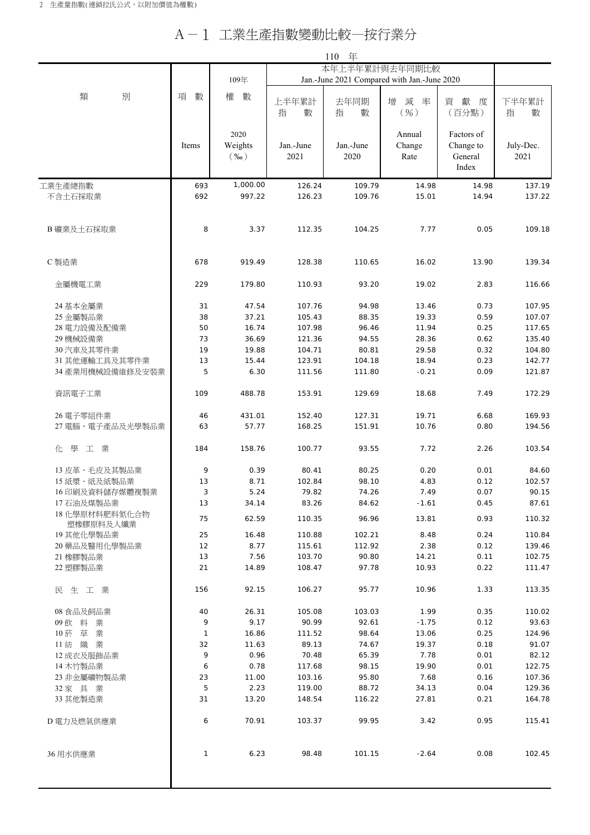## A-1 工業生產指數變動比較—按行業分

|                              |          | 110 年                      |                                             |                   |                          |                                             |                   |
|------------------------------|----------|----------------------------|---------------------------------------------|-------------------|--------------------------|---------------------------------------------|-------------------|
|                              |          |                            | 本年上半年累計與去年同期比較                              |                   |                          |                                             |                   |
|                              |          | 109年                       | Jan.-June 2021 Compared with Jan.-June 2020 |                   |                          |                                             |                   |
| 別<br>類                       | 項<br>數   | 權<br>數                     | 上半年累計<br>指<br>數                             | 去年同期<br>指<br>數    | 減<br>增<br>率<br>$($ %)    | 獻度<br>貢<br>(百分點)                            | 下半年累計<br>指<br>數   |
|                              | Items    | 2020<br>Weights<br>$(\%0)$ | Jan.-June<br>2021                           | Jan.-June<br>2020 | Annual<br>Change<br>Rate | Factors of<br>Change to<br>General<br>Index | July-Dec.<br>2021 |
| 工業生產總指數                      | 693      | 1,000.00                   | 126.24                                      | 109.79            | 14.98                    | 14.98                                       | 137.19            |
| 不含土石採取業                      | 692      | 997.22                     | 126.23                                      | 109.76            | 15.01                    | 14.94                                       | 137.22            |
|                              |          |                            |                                             |                   |                          |                                             |                   |
| B 礦業及土石採取業                   | 8        | 3.37                       | 112.35                                      | 104.25            | 7.77                     | 0.05                                        | 109.18            |
| C 製造業                        | 678      | 919.49                     | 128.38                                      | 110.65            | 16.02                    | 13.90                                       | 139.34            |
| 金屬機電工業                       | 229      | 179.80                     | 110.93                                      | 93.20             | 19.02                    | 2.83                                        | 116.66            |
| 24 基本金屬業                     | 31       | 47.54                      | 107.76                                      | 94.98             | 13.46                    | 0.73                                        | 107.95            |
| 25 金屬製品業                     | 38       | 37.21                      | 105.43                                      | 88.35             | 19.33                    | 0.59                                        | 107.07            |
| 28 電力設備及配備業                  | 50       | 16.74                      | 107.98                                      | 96.46             | 11.94                    | 0.25                                        | 117.65            |
| 29 機械設備業                     | 73       | 36.69                      | 121.36                                      | 94.55             | 28.36                    | 0.62                                        | 135.40            |
| 30 汽車及其零件業                   | 19       | 19.88                      | 104.71                                      | 80.81             | 29.58                    | 0.32                                        | 104.80            |
| 31 其他運輸工具及其零件業               | 13       | 15.44                      | 123.91                                      | 104.18            | 18.94                    | 0.23                                        | 142.77            |
| 34 產業用機械設備維修及安裝業             | 5        | 6.30                       | 111.56                                      | 111.80            | $-0.21$                  | 0.09                                        | 121.87            |
| 資訊電子工業                       | 109      | 488.78                     | 153.91                                      | 129.69            | 18.68                    | 7.49                                        | 172.29            |
| 26 電子零組件業                    | 46       | 431.01                     | 152.40                                      | 127.31            | 19.71                    | 6.68                                        | 169.93            |
| 27 電腦、電子產品及光學製品業             | 63       | 57.77                      | 168.25                                      | 151.91            | 10.76                    | 0.80                                        | 194.56            |
| 化 學<br>工業                    | 184      | 158.76                     | 100.77                                      | 93.55             | 7.72                     | 2.26                                        | 103.54            |
|                              |          |                            |                                             |                   |                          |                                             |                   |
| 13 皮革、毛皮及其製品業                | 9        | 0.39                       | 80.41                                       | 80.25             | 0.20                     | 0.01                                        | 84.60             |
| 15紙漿、紙及紙製品業                  | 13       | 8.71                       | 102.84                                      | 98.10             | 4.83                     | 0.12                                        | 102.57            |
| 16印刷及資料儲存媒體複製業               | 3        | 5.24                       | 79.82                                       | 74.26             | 7.49                     | 0.07                                        | 90.15             |
| 17 石油及煤製品業<br>18 化學原材料肥料氮化合物 | 13       | 34.14                      | 83.26                                       | 84.62<br>96.96    | $-1.61$                  | 0.45                                        | 87.61             |
| 塑橡膠原料及人纖業                    | 75       | 62.59                      | 110.35                                      |                   | 13.81                    | 0.93                                        | 110.32            |
| 19 其他化學製品業                   | 25       | 16.48                      | 110.88                                      | 102.21            | 8.48                     | 0.24                                        | 110.84            |
| 20 藥品及醫用化學製品業                | 12       | 8.77                       | 115.61                                      | 112.92            | 2.38                     | 0.12                                        | 139.46            |
| 21 橡膠製品業<br>22 塑膠製品業         | 13<br>21 | 7.56<br>14.89              | 103.70<br>108.47                            | 90.80<br>97.78    | 14.21<br>10.93           | 0.11<br>0.22                                | 102.75<br>111.47  |
|                              |          |                            |                                             |                   |                          |                                             |                   |
| 民生工業                         | 156      | 92.15                      | 106.27                                      | 95.77             | 10.96                    | 1.33                                        | 113.35            |
| 08 食品及飼品業                    | 40       | 26.31                      | 105.08                                      | 103.03            | 1.99                     | 0.35                                        | 110.02            |
| 09飲料<br>業                    | 9        | 9.17                       | 90.99                                       | 92.61             | $-1.75$                  | 0.12                                        | 93.63             |
| 10 菸 草 業                     | 1        | 16.86                      | 111.52                                      | 98.64             | 13.06                    | 0.25                                        | 124.96            |
| 11 紡 織 業                     | 32       | 11.63                      | 89.13                                       | 74.67             | 19.37                    | 0.18                                        | 91.07             |
| 12 成衣及服飾品業                   | 9        | 0.96                       | 70.48                                       | 65.39             | 7.78                     | 0.01                                        | 82.12             |
| 14 木竹製品業                     | 6        | 0.78                       | 117.68                                      | 98.15             | 19.90                    | 0.01                                        | 122.75            |
| 23 非金屬礦物製品業                  | 23       | 11.00                      | 103.16                                      | 95.80             | 7.68                     | 0.16                                        | 107.36            |
| 32 家 具 業                     | 5        | 2.23                       | 119.00                                      | 88.72             | 34.13                    | 0.04                                        | 129.36            |
| 33 其他製造業                     | 31       | 13.20                      | 148.54                                      | 116.22            | 27.81                    | 0.21                                        | 164.78            |
| D電力及燃氣供應業                    | 6        | 70.91                      | 103.37                                      | 99.95             | 3.42                     | 0.95                                        | 115.41            |
| 36 用水供應業                     | 1        | 6.23                       | 98.48                                       | 101.15            | $-2.64$                  | 0.08                                        | 102.45            |